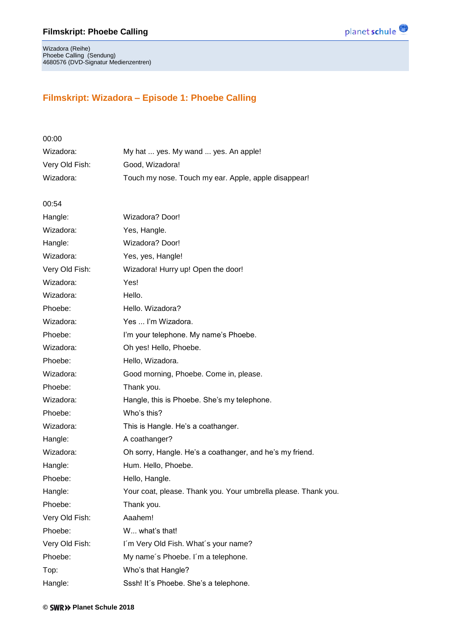

Wizadora (Reihe) Phoebe Calling (Sendung) 4680576 (DVD-Signatur Medienzentren)

## **Filmskript: Wizadora – Episode 1: Phoebe Calling**

| 00:00          |                                                                |
|----------------|----------------------------------------------------------------|
| Wizadora:      | My hat  yes. My wand  yes. An apple!                           |
| Very Old Fish: | Good, Wizadora!                                                |
| Wizadora:      | Touch my nose. Touch my ear. Apple, apple disappear!           |
|                |                                                                |
| 00:54          |                                                                |
| Hangle:        | Wizadora? Door!                                                |
| Wizadora:      | Yes, Hangle.                                                   |
| Hangle:        | Wizadora? Door!                                                |
| Wizadora:      | Yes, yes, Hangle!                                              |
| Very Old Fish: | Wizadora! Hurry up! Open the door!                             |
| Wizadora:      | Yes!                                                           |
| Wizadora:      | Hello.                                                         |
| Phoebe:        | Hello. Wizadora?                                               |
| Wizadora:      | Yes  I'm Wizadora.                                             |
| Phoebe:        | I'm your telephone. My name's Phoebe.                          |
| Wizadora:      | Oh yes! Hello, Phoebe.                                         |
| Phoebe:        | Hello, Wizadora.                                               |
| Wizadora:      | Good morning, Phoebe. Come in, please.                         |
| Phoebe:        | Thank you.                                                     |
| Wizadora:      | Hangle, this is Phoebe. She's my telephone.                    |
| Phoebe:        | Who's this?                                                    |
| Wizadora:      | This is Hangle. He's a coathanger.                             |
| Hangle:        | A coathanger?                                                  |
| Wizadora:      | Oh sorry, Hangle. He's a coathanger, and he's my friend.       |
| Hangle:        | Hum. Hello, Phoebe.                                            |
| Phoebe:        | Hello, Hangle.                                                 |
| Hangle:        | Your coat, please. Thank you. Your umbrella please. Thank you. |
| Phoebe:        | Thank you.                                                     |
| Very Old Fish: | Aaahem!                                                        |
| Phoebe:        | W what's that!                                                 |
| Very Old Fish: | I'm Very Old Fish. What's your name?                           |
| Phoebe:        | My name's Phoebe. I'm a telephone.                             |
| Top:           | Who's that Hangle?                                             |
| Hangle:        | Sssh! It's Phoebe. She's a telephone.                          |
|                |                                                                |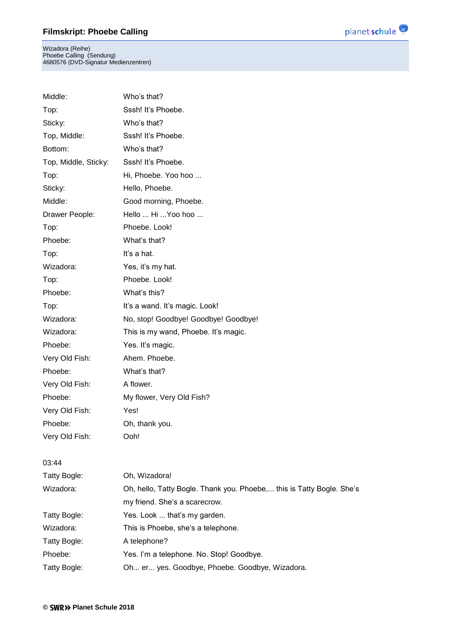Wizadora (Reihe) Phoebe Calling (Sendung) 4680576 (DVD-Signatur Medienzentren)

Middle: Who's that?

| Top:                 | Sssh! It's Phoebe.                                                    |
|----------------------|-----------------------------------------------------------------------|
| Sticky:              | Who's that?                                                           |
| Top, Middle:         | Sssh! It's Phoebe.                                                    |
| Bottom:              | Who's that?                                                           |
| Top, Middle, Sticky: | Sssh! It's Phoebe.                                                    |
| Top:                 | Hi, Phoebe. Yoo hoo                                                   |
| Sticky:              | Hello, Phoebe.                                                        |
| Middle:              | Good morning, Phoebe.                                                 |
| Drawer People:       | Hello  Hi  Yoo hoo                                                    |
| Top:                 | Phoebe. Look!                                                         |
| Phoebe:              | What's that?                                                          |
| Top:                 | It's a hat.                                                           |
| Wizadora:            | Yes, it's my hat.                                                     |
| Top:                 | Phoebe. Look!                                                         |
| Phoebe:              | What's this?                                                          |
| Top:                 | It's a wand. It's magic. Look!                                        |
| Wizadora:            | No, stop! Goodbye! Goodbye! Goodbye!                                  |
| Wizadora:            | This is my wand, Phoebe. It's magic.                                  |
| Phoebe:              | Yes. It's magic.                                                      |
| Very Old Fish:       | Ahem. Phoebe.                                                         |
| Phoebe:              | What's that?                                                          |
| Very Old Fish:       | A flower.                                                             |
| Phoebe:              | My flower, Very Old Fish?                                             |
| Very Old Fish:       | Yes!                                                                  |
| Phoebe:              | Oh, thank you.                                                        |
| Very Old Fish:       | Ooh!                                                                  |
| 03:44                |                                                                       |
| Tatty Bogle:         | Oh, Wizadora!                                                         |
| Wizadora:            | Oh, hello, Tatty Bogle. Thank you. Phoebe, this is Tatty Bogle. She's |
|                      | my friend. She's a scarecrow.                                         |
| Tatty Bogle:         | Yes. Look  that's my garden.                                          |
| Wizadora:            | This is Phoebe, she's a telephone.                                    |
| Tatty Bogle:         | A telephone?                                                          |
| Phoebe:              | Yes. I'm a telephone. No. Stop! Goodbye.                              |
| Tatty Bogle:         | Oh er yes. Goodbye, Phoebe. Goodbye, Wizadora.                        |

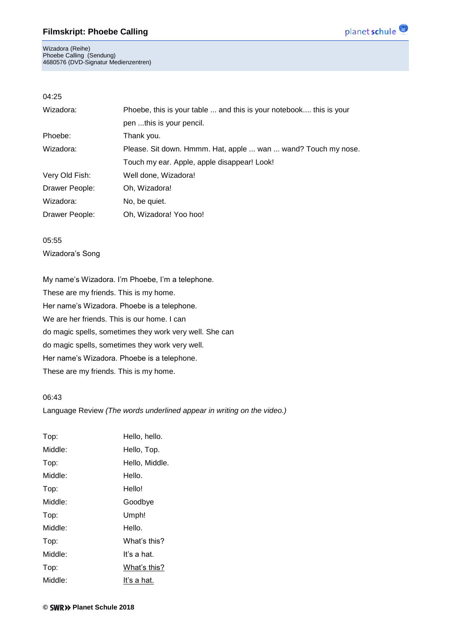Wizadora (Reihe) Phoebe Calling (Sendung) 4680576 (DVD-Signatur Medienzentren)



### 04:25

| Wizadora:      | Phoebe, this is your table  and this is your notebook this is your |  |
|----------------|--------------------------------------------------------------------|--|
|                | pen this is your pencil.                                           |  |
| Phoebe:        | Thank you.                                                         |  |
| Wizadora:      | Please. Sit down. Hmmm. Hat, apple  wan  wand? Touch my nose.      |  |
|                | Touch my ear. Apple, apple disappear! Look!                        |  |
| Very Old Fish: | Well done, Wizadora!                                               |  |
| Drawer People: | Oh, Wizadora!                                                      |  |
| Wizadora:      | No, be quiet.                                                      |  |
| Drawer People: | Oh, Wizadora! Yoo hoo!                                             |  |

05:55 Wizadora's Song

My name's Wizadora. I'm Phoebe, I'm a telephone. These are my friends. This is my home. Her name's Wizadora. Phoebe is a telephone. We are her friends. This is our home. I can do magic spells, sometimes they work very well. She can do magic spells, sometimes they work very well. Her name's Wizadora. Phoebe is a telephone. These are my friends. This is my home.

#### 06:43

Language Review *(The words underlined appear in writing on the video.)*

| Top:    | Hello, hello.  |
|---------|----------------|
| Middle: | Hello, Top.    |
| Top:    | Hello, Middle. |
| Middle: | Hello.         |
| Top:    | Hello!         |
| Middle: | Goodbye        |
| Top:    | Umph!          |
| Middle: | Hello.         |
| Top:    | What's this?   |
| Middle: | It's a hat.    |
| Top:    | What's this?   |
| Middle: | It's a hat.    |